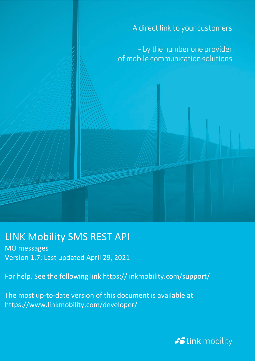A direct link to your customers

- by the number one provider of mobile communication solutions

### LINK Mobility SMS REST API

MO messages Version 1.7; Last updated April 29, 2021

For help, See the following link https://linkmobility.com/support/

The most up-to-date version of this document is available at https://www.linkmobility.com/developer/

Slink mobility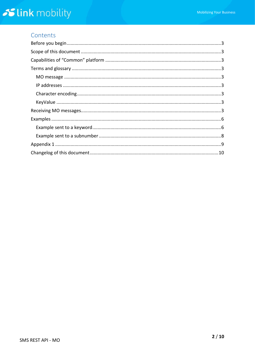#### Contents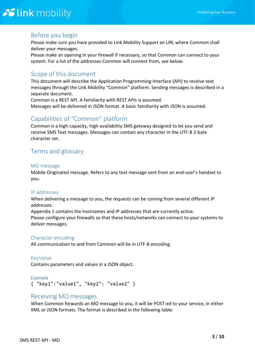#### <span id="page-2-0"></span>Before you begin

Please make sure you have provided to Link Mobility Support an URL where Common shall deliver your messages.

Please make an opening in your firewall if necessary, so that Common can connect to your system. For a list of the addresses Common will connect from, see below.

#### <span id="page-2-1"></span>Scope of this document

This document will describe the Application Programming Interface (API) to receive text messages through the Link Mobility "Common" platform. Sending messages is described in a separate document.

Common is a REST API. A familiarity with REST APIs is assumed. Messages will be delivered in JSON format. A basic familiarity with JSON is assumed.

#### <span id="page-2-2"></span>Capabilities of "Common" platform

Common is a high-capacity, high-availability SMS gateway designed to let you send and receive SMS Text messages. Messages can contain any character in the UTF-8 2-byte character set.

#### <span id="page-2-3"></span>Terms and glossary

#### <span id="page-2-4"></span>MO message

Mobile Originated message. Refers to any text message sent from an end-user's handset to you.

#### <span id="page-2-5"></span>IP addresses

When delivering a message to you, the requests can be coming from several different IP addresses.

Appendix 1 contains the hostnames and IP addresses that are currently active. Please configure your firewalls so that these hosts/networks can connect to your systems to deliver messages.

#### <span id="page-2-6"></span>Character encoding

All communication to and from Common will be in UTF-8 encoding.

#### <span id="page-2-7"></span>KeyValue

Contains parameters and values in a JSON object.

#### Example

```
{ "key1":"value1", "key2": "value2" }
```
#### Receiving MO messages

When Common forwards an MO message to you, it will be POST:ed to your service, in either XML or JSON formats. The format is described in the following table: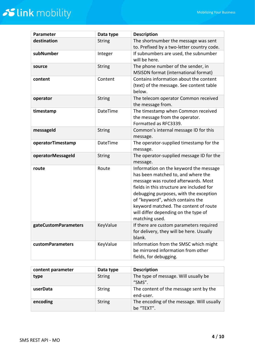| <b>Parameter</b>        | Data type     | <b>Description</b>                                                                                                                                                                                                                                                                                                                                |  |
|-------------------------|---------------|---------------------------------------------------------------------------------------------------------------------------------------------------------------------------------------------------------------------------------------------------------------------------------------------------------------------------------------------------|--|
| destination             | <b>String</b> | The shortnumber the message was sent<br>to. Prefixed by a two-letter country code.                                                                                                                                                                                                                                                                |  |
| subNumber               | Integer       | If subnumbers are used, the subnumber<br>will be here.                                                                                                                                                                                                                                                                                            |  |
| source                  | <b>String</b> | The phone number of the sender, in<br>MSISDN format (international format)                                                                                                                                                                                                                                                                        |  |
| content                 | Content       | Contains information about the content<br>(text) of the message. See content table<br>below.                                                                                                                                                                                                                                                      |  |
| operator                | <b>String</b> | The telecom operator Common received<br>the message from.                                                                                                                                                                                                                                                                                         |  |
| timestamp               | DateTime      | The timestamp when Common received<br>the message from the operator.<br>Formatted as RFC3339.                                                                                                                                                                                                                                                     |  |
| messageId               | <b>String</b> | Common's internal message ID for this<br>message.                                                                                                                                                                                                                                                                                                 |  |
| operatorTimestamp       | DateTime      | The operator-supplied timestamp for the<br>message.                                                                                                                                                                                                                                                                                               |  |
| operatorMessageId       | <b>String</b> | The operator-supplied message ID for the<br>message.                                                                                                                                                                                                                                                                                              |  |
| route                   | Route         | Information on the keyword the message<br>has been matched to, and where the<br>message was routed afterwards. Most<br>fields in this structure are included for<br>debugging purposes, with the exception<br>of "keyword", which contains the<br>keyword matched. The content of route<br>will differ depending on the type of<br>matching used. |  |
| gateCustomParameters    | KeyValue      | If there are custom parameters required<br>for delivery, they will be here. Usually<br>blank.                                                                                                                                                                                                                                                     |  |
| <b>customParameters</b> | KeyValue      | Information from the SMSC which might<br>be mirrored information from other<br>fields, for debugging.                                                                                                                                                                                                                                             |  |

| content parameter | Data type     | <b>Description</b>                                      |
|-------------------|---------------|---------------------------------------------------------|
| type              | <b>String</b> | The type of message. Will usually be<br>"SMS".          |
| userData          | <b>String</b> | The content of the message sent by the<br>end-user.     |
| encoding          | <b>String</b> | The encoding of the message. Will usually<br>be "TEXT". |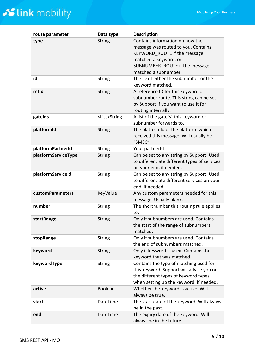| route parameter         | Data type           | <b>Description</b>                                                  |  |  |
|-------------------------|---------------------|---------------------------------------------------------------------|--|--|
| type                    | <b>String</b>       | Contains information on how the                                     |  |  |
|                         |                     | message was routed to you. Contains                                 |  |  |
|                         |                     | KEYWORD ROUTE if the message                                        |  |  |
|                         |                     | matched a keyword, or                                               |  |  |
|                         |                     | SUBNUMBER ROUTE if the message                                      |  |  |
|                         |                     | matched a subnumber.                                                |  |  |
| id                      | <b>String</b>       | The ID of either the subnumber or the                               |  |  |
|                         |                     | keyword matched.                                                    |  |  |
| refid                   | <b>String</b>       | A reference ID for this keyword or                                  |  |  |
|                         |                     | subnumber route. This string can be set                             |  |  |
|                         |                     | by Support if you want to use it for                                |  |  |
|                         |                     | routing internally.                                                 |  |  |
| gatelds                 | <list>String</list> | A list of the gate(s) this keyword or<br>subnumber forwards to.     |  |  |
| platformId              | <b>String</b>       | The platformid of the platform which                                |  |  |
|                         |                     | received this message. Will usually be                              |  |  |
|                         |                     | "SMSC".                                                             |  |  |
| platformPartnerId       | <b>String</b>       | Your partnerId                                                      |  |  |
| platformServiceType     | <b>String</b>       | Can be set to any string by Support. Used                           |  |  |
|                         |                     | to differentiate different types of services                        |  |  |
|                         |                     | on your end, if needed.                                             |  |  |
| platformServiceId       | <b>String</b>       | Can be set to any string by Support. Used                           |  |  |
|                         |                     | to differentiate different services on your                         |  |  |
|                         |                     | end, if needed.                                                     |  |  |
| <b>customParameters</b> | KeyValue            | Any custom parameters needed for this                               |  |  |
|                         |                     | message. Usually blank.                                             |  |  |
| number                  | <b>String</b>       | The shortnumber this routing rule applies                           |  |  |
|                         |                     | to.                                                                 |  |  |
| startRange              | <b>String</b>       | Only if subnumbers are used. Contains                               |  |  |
|                         |                     | the start of the range of subnumbers                                |  |  |
|                         |                     | matched.                                                            |  |  |
| stopRange               | <b>String</b>       | Only if subnumbers are used. Contains                               |  |  |
|                         |                     | the end of subnumbers matched.                                      |  |  |
| keyword                 | <b>String</b>       | Only if keyword is used. Contains the                               |  |  |
| keywordType             | <b>String</b>       | keyword that was matched.<br>Contains the type of matching used for |  |  |
|                         |                     | this keyword. Support will advise you on                            |  |  |
|                         |                     | the different types of keyword types                                |  |  |
|                         |                     | when setting up the keyword, if needed.                             |  |  |
| active                  | Boolean             | Whether the keyword is active. Will                                 |  |  |
|                         |                     | always be true.                                                     |  |  |
| start                   | DateTime            | The start date of the keyword. Will always                          |  |  |
|                         |                     | be in the past.                                                     |  |  |
| end                     | <b>DateTime</b>     | The expiry date of the keyword. Will                                |  |  |
|                         |                     | always be in the future.                                            |  |  |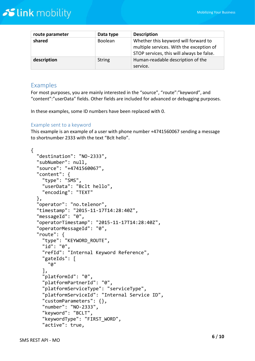| route parameter | Data type     | <b>Description</b>                                                                                                            |
|-----------------|---------------|-------------------------------------------------------------------------------------------------------------------------------|
| shared          | Boolean       | Whether this keyword will forward to<br>multiple services. With the exception of<br>STOP services, this will always be false. |
| description     | <b>String</b> | Human-readable description of the<br>service.                                                                                 |

#### <span id="page-5-0"></span>Examples

For most purposes, you are mainly interested in the "source", "route":"keyword", and "content":"userData" fields. Other fields are included for advanced or debugging purposes.

In these examples, some ID numbers have been replaced with 0.

#### <span id="page-5-1"></span>Example sent to a keyword

This example is an example of a user with phone number +4741560067 sending a message to shortnumber 2333 with the text "Bclt hello".

```
{
   "destination": "NO-2333",
   "subNumber": null,
   "source": "+4741560067",
   "content": {
     "type": "SMS",
     "userData": "Bclt hello",
     "encoding": "TEXT"
   },
   "operator": "no.telenor",
   "timestamp": "2015-11-17T14:28:40Z",
   "messageId": "0",
   "operatorTimestamp": "2015-11-17T14:28:40Z",
   "operatorMessageId": "0",
   "route": {
     "type": "KEYWORD_ROUTE",
     "id": "0",
     "refId": "Internal Keyword Reference",
     "gateIds": [
       "0"
     ],
     "platformId": "0",
     "platformPartnerId": "0",
     "platformServiceType": "serviceType",
     "platformServiceId": "Internal Service ID",
     "customParameters": {},
     "number": "NO-2333",
     "keyword": "BCLT",
     "keywordType": "FIRST_WORD",
     "active": true,
```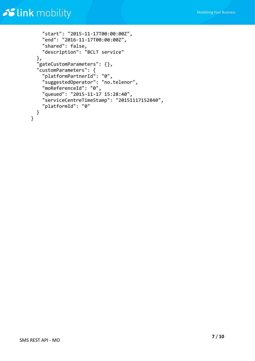```
 "start": "2015-11-17T00:00:00Z",
     "end": "2016-11-17T00:00:00Z",
     "shared": false,
     "description": "BCLT service"
   },
   "gateCustomParameters": {},
   "customParameters": {
     "platformPartnerId": "0",
     "suggestedOperator": "no.telenor",
     "moReferenceId": "0",
     "queued": "2015-11-17 15:28:40",
     "serviceCentreTimeStamp": "20151117152840",
     "platformId": "0"
  }
}
```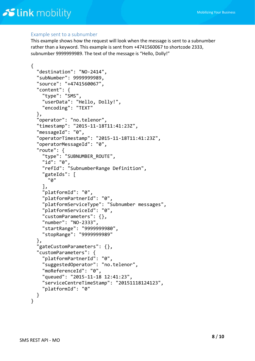#### <span id="page-7-0"></span>Example sent to a subnumber

This example shows how the request will look when the message is sent to a subnumber rather than a keyword. This example is sent from +4741560067 to shortcode 2333, subnumber 9999999989. The text of the message is "Hello, Dolly!"

```
{
   "destination": "NO-2414",
   "subNumber": 9999999989,
   "source": "+4741560067",
   "content": {
     "type": "SMS",
     "userData": "Hello, Dolly!",
     "encoding": "TEXT"
   },
   "operator": "no.telenor",
   "timestamp": "2015-11-18T11:41:23Z",
   "messageId": "0",
   "operatorTimestamp": "2015-11-18T11:41:23Z",
   "operatorMessageId": "0",
   "route": {
     "type": "SUBNUMBER_ROUTE",
     "id": "0",
     "refId": "SubnumberRange Definition",
     "gateIds": [
       "0"
     ],
     "platformId": "0",
     "platformPartnerId": "0",
     "platformServiceType": "Subnumber messages",
     "platformServiceId": "0",
     "customParameters": {},
     "number": "NO-2333",
     "startRange": "9999999980",
     "stopRange": "9999999989"
   },
   "gateCustomParameters": {},
   "customParameters": {
     "platformPartnerId": "0",
     "suggestedOperator": "no.telenor",
     "moReferenceId": "0",
     "queued": "2015-11-18 12:41:23",
     "serviceCentreTimeStamp": "20151118124123",
     "platformId": "0"
   }
}
```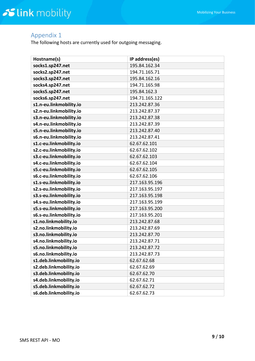### <span id="page-8-0"></span>Appendix 1

The following hosts are currently used for outgoing messaging.

| Hostname(s)             | IP address(es) |
|-------------------------|----------------|
| socks1.sp247.net        | 195.84.162.34  |
| socks2.sp247.net        | 194.71.165.71  |
| socks3.sp247.net        | 195.84.162.16  |
| socks4.sp247.net        | 194.71.165.98  |
| socks5.sp247.net        | 195.84.162.3   |
| socks6.sp247.net        | 194.71.165.122 |
| s1.n-eu.linkmobility.io | 213.242.87.36  |
| s2.n-eu.linkmobility.io | 213.242.87.37  |
| s3.n-eu.linkmobility.io | 213.242.87.38  |
| s4.n-eu.linkmobility.io | 213.242.87.39  |
| s5.n-eu.linkmobility.io | 213.242.87.40  |
| s6.n-eu.linkmobility.io | 213.242.87.41  |
| s1.c-eu.linkmobility.io | 62.67.62.101   |
| s2.c-eu.linkmobility.io | 62.67.62.102   |
| s3.c-eu.linkmobility.io | 62.67.62.103   |
| s4.c-eu.linkmobility.io | 62.67.62.104   |
| s5.c-eu.linkmobility.io | 62.67.62.105   |
| s6.c-eu.linkmobility.io | 62.67.62.106   |
| s1.s-eu.linkmobility.io | 217.163.95.196 |
| s2.s-eu.linkmobility.io | 217.163.95.197 |
| s3.s-eu.linkmobility.io | 217.163.95.198 |
| s4.s-eu.linkmobility.io | 217.163.95.199 |
| s5.s-eu.linkmobility.io | 217.163.95.200 |
| s6.s-eu.linkmobility.io | 217.163.95.201 |
| s1.no.linkmobility.io   | 213.242.87.68  |
| s2.no.linkmobility.io   | 213.242.87.69  |
| s3.no.linkmobility.io   | 213.242.87.70  |
| s4.no.linkmobility.io   | 213.242.87.71  |
| s5.no.linkmobility.io   | 213.242.87.72  |
| s6.no.linkmobility.io   | 213.242.87.73  |
| s1.deb.linkmobility.io  | 62.67.62.68    |
| s2.deb.linkmobility.io  | 62.67.62.69    |
| s3.deb.linkmobility.io  | 62.67.62.70    |
| s4.deb.linkmobility.io  | 62.67.62.71    |
| s5.deb.linkmobility.io  | 62.67.62.72    |
| s6.deb.linkmobility.io  | 62.67.62.73    |